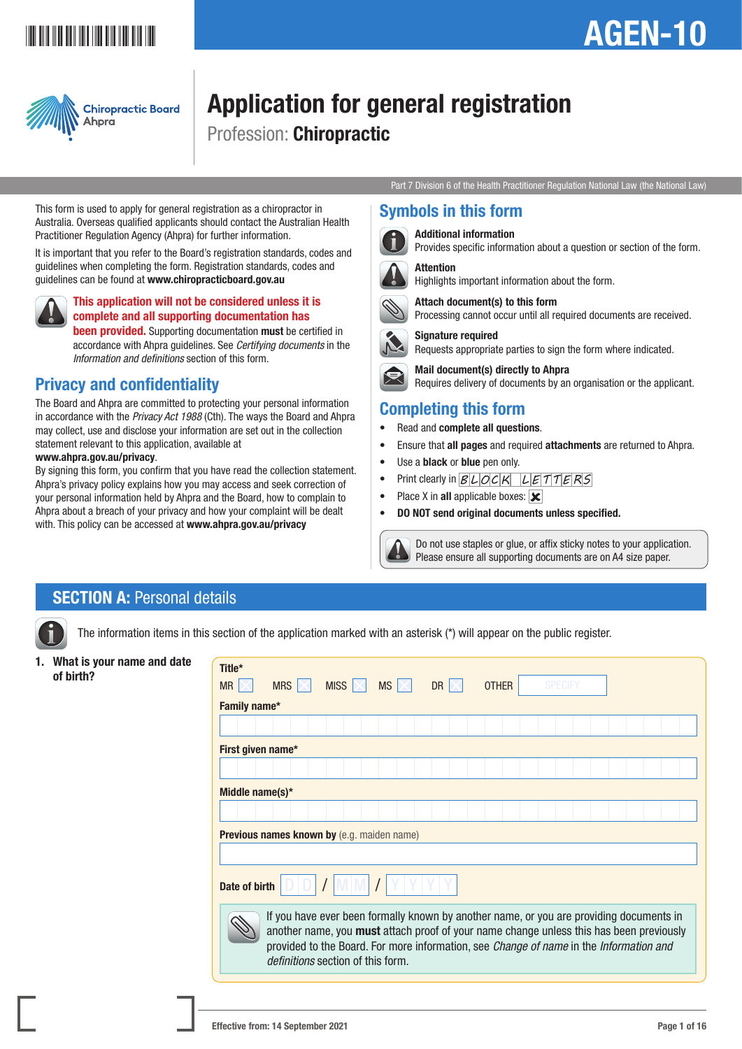# **\*AGENT-1011** AND AND AND AND AND

# AGEN-10



# Application for general registration Profession: Chiropractic

#### Part 7 Division 6 of the Health Practitioner Regulation National Law (the National Law)

This form is used to apply for general registration as a chiropractor in Australia. Overseas qualified applicants should contact the Australian Health Practitioner Regulation Agency (Ahpra) for further information.

It is important that you refer to the Board's registration standards, codes and guidelines when completing the form. Registration standards, codes and guidelines can be found at www.chiropracticboard.gov.au



This application will not be considered unless it is complete and all supporting documentation has

been provided. Supporting documentation must be certified in accordance with Ahpra guidelines. See *Certifying documents* in the *Information and definitions* section of this form.

## Privacy and confidentiality

The Board and Ahpra are committed to protecting your personal information in accordance with the *Privacy Act 1988* (Cth). The ways the Board and Ahpra may collect, use and disclose your information are set out in the collection statement relevant to this application, available at

#### www.ahpra.gov.au/privacy.

By signing this form, you confirm that you have read the collection statement. Ahpra's privacy policy explains how you may access and seek correction of your personal information held by Ahpra and the Board, how to complain to Ahpra about a breach of your privacy and how your complaint will be dealt with. This policy can be accessed at www.ahpra.gov.au/privacy

## Symbols in this form



 Additional information Provides specific information about a question or section of the form.



 Attention Highlights important information about the form.



 Attach document(s) to this form Processing cannot occur until all required documents are received.



Requests appropriate parties to sign the form where indicated.

 Mail document(s) directly to Ahpra Requires delivery of documents by an organisation or the applicant.

## Completing this form

Signature required

- Read and complete all questions.
- Ensure that all pages and required attachments are returned to Ahpra.
- Use a **black** or **blue** pen only.
- Print clearly in *B L OC K L E T T E RS*
- Place X in all applicable boxes:  $\overline{\mathbf{x}}$
- DO NOT send original documents unless specified.

 Do not use staples or glue, or affix sticky notes to your application. Please ensure all supporting documents are on A4 size paper.

## **SECTION A: Personal details**

The information items in this section of the application marked with an asterisk (\*) will appear on the public register.

## 1. What is your name and date of birth?

| Title*                                                                                                                                                                                                                                                                                                                                 |                                |
|----------------------------------------------------------------------------------------------------------------------------------------------------------------------------------------------------------------------------------------------------------------------------------------------------------------------------------------|--------------------------------|
| MISS $\mathbb{K}$<br>MRS $\mathbb{R}$<br>$MS \times$<br><b>MR</b><br>DR                                                                                                                                                                                                                                                                | <b>OTHER</b><br><b>SPECIEY</b> |
| Family name*                                                                                                                                                                                                                                                                                                                           |                                |
|                                                                                                                                                                                                                                                                                                                                        |                                |
| First given name*                                                                                                                                                                                                                                                                                                                      |                                |
|                                                                                                                                                                                                                                                                                                                                        |                                |
| Middle name(s)*                                                                                                                                                                                                                                                                                                                        |                                |
|                                                                                                                                                                                                                                                                                                                                        |                                |
| <b>Previous names known by</b> (e.g. maiden name)                                                                                                                                                                                                                                                                                      |                                |
|                                                                                                                                                                                                                                                                                                                                        |                                |
| Date of birth                                                                                                                                                                                                                                                                                                                          |                                |
| If you have ever been formally known by another name, or you are providing documents in<br>another name, you must attach proof of your name change unless this has been previously<br>provided to the Board. For more information, see <i>Change of name</i> in the <i>Information and</i><br><i>definitions</i> section of this form. |                                |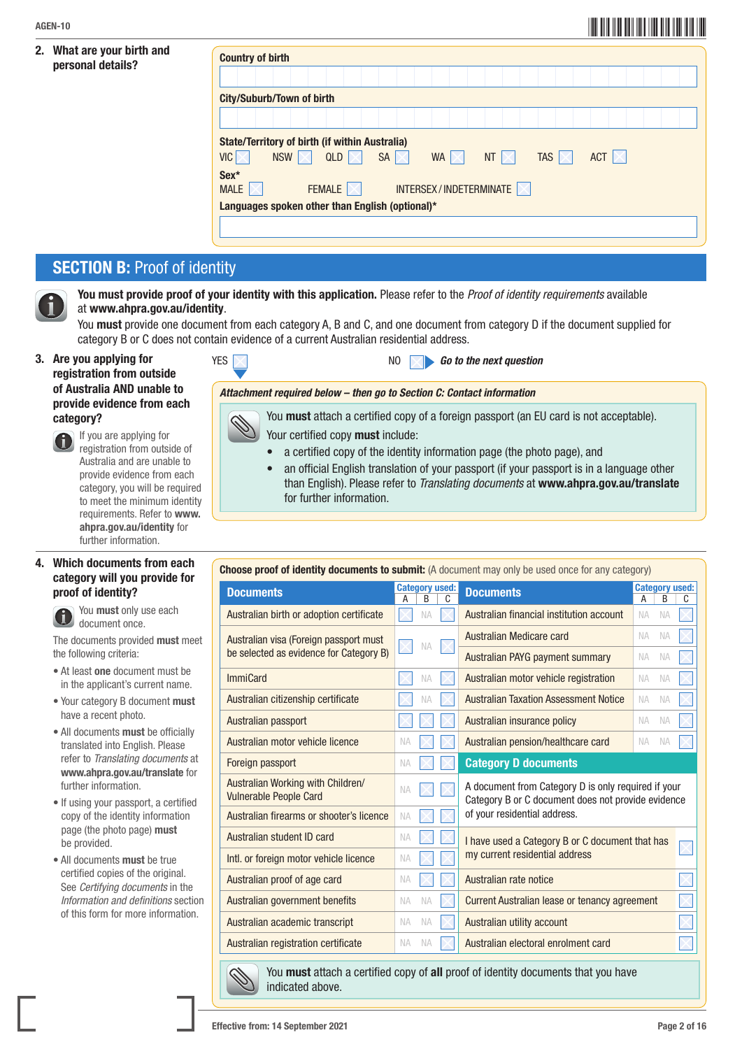#### 2. What are your birth and personal details?

| $ACT$ $\times$<br>TAS  <br>$WA \times$<br>NT    |
|-------------------------------------------------|
| INTERSEX/INDETERMINATE                          |
| Languages spoken other than English (optional)* |

## **SECTION B: Proof of identity**

You must provide proof of your identity with this application. Please refer to the *Proof of identity requirements* available at www.ahpra.gov.au/identity.

You must provide one document from each category A, B and C, and one document from category D if the document supplied for category B or C does not contain evidence of a current Australian residential address.

#### 3. Are you applying for registration from outside of Australia AND unable to provide evidence from each category?

 If you are applying for registration from outside of Australia and are unable to provide evidence from each category, you will be required to meet the minimum identity requirements. Refer to [www.](http://www.ahpra.gov.au/identity) [ahpra.gov.au/identity](http://www.ahpra.gov.au/identity) for further information.

#### 4. Which documents from each category will you provide for proof of identity?



 You must only use each document once.

The documents provided must meet the following criteria:

- At least one document must be in the applicant's current name.
- Your category B document must have a recent photo.
- All documents must be officially translated into English. Please refer to *Translating documents* at www.ahpra.gov.au/translate for further information.
- If using your passport, a certified copy of the identity information page (the photo page) must be provided.
- All documents must be true certified copies of the original. See *Certifying documents* in the *Information and definitions* section of this form for more information.



*Attachment required below – then go to Section C: Contact information*

You must attach a certified copy of a foreign passport (an EU card is not acceptable). Your certified copy **must** include:

- a certified copy of the identity information page (the photo page), and
- an official English translation of your passport (if your passport is in a language other than English). Please refer to *Translating documents* at www.ahpra.gov.au/translate for further information.

| <b>Choose proof of identity documents to submit:</b> (A document may only be used once for any category) |                                 |  |                                                                                                           |           |           |                            |  |  |
|----------------------------------------------------------------------------------------------------------|---------------------------------|--|-----------------------------------------------------------------------------------------------------------|-----------|-----------|----------------------------|--|--|
| <b>Documents</b>                                                                                         | <b>Category used:</b><br>A<br>B |  | <b>Documents</b>                                                                                          | A         | B         | <b>Category used:</b><br>C |  |  |
| Australian birth or adoption certificate                                                                 | <b>NA</b>                       |  | Australian financial institution account                                                                  | <b>NA</b> | <b>NA</b> |                            |  |  |
| Australian visa (Foreign passport must                                                                   | NA                              |  | Australian Medicare card                                                                                  | <b>NA</b> | <b>NA</b> |                            |  |  |
| be selected as evidence for Category B)                                                                  |                                 |  | Australian PAYG payment summary                                                                           | <b>NA</b> | <b>NA</b> |                            |  |  |
| <b>ImmiCard</b>                                                                                          | <b>NA</b>                       |  | Australian motor vehicle registration                                                                     | <b>NA</b> | <b>NA</b> |                            |  |  |
| Australian citizenship certificate                                                                       | NA                              |  | <b>Australian Taxation Assessment Notice</b>                                                              | <b>NA</b> | <b>NA</b> |                            |  |  |
| Australian passport                                                                                      |                                 |  | Australian insurance policy                                                                               | <b>NA</b> | <b>NA</b> |                            |  |  |
| Australian motor vehicle licence                                                                         | <b>NA</b>                       |  | Australian pension/healthcare card                                                                        | <b>NA</b> | <b>NA</b> |                            |  |  |
| Foreign passport                                                                                         | <b>NA</b>                       |  | <b>Category D documents</b>                                                                               |           |           |                            |  |  |
| Australian Working with Children/<br><b>Vulnerable People Card</b>                                       | <b>NA</b>                       |  | A document from Category D is only required if your<br>Category B or C document does not provide evidence |           |           |                            |  |  |
| Australian firearms or shooter's licence                                                                 | <b>NA</b>                       |  | of your residential address.                                                                              |           |           |                            |  |  |
| Australian student ID card                                                                               | <b>NA</b>                       |  | I have used a Category B or C document that has                                                           |           |           |                            |  |  |
| Intl. or foreign motor vehicle licence                                                                   | <b>NA</b>                       |  | my current residential address                                                                            |           |           |                            |  |  |
| Australian proof of age card                                                                             | <b>NA</b>                       |  | Australian rate notice                                                                                    |           |           |                            |  |  |
| Australian government benefits                                                                           | <b>NA</b><br><b>NA</b>          |  | Current Australian lease or tenancy agreement                                                             |           |           |                            |  |  |
| Australian academic transcript                                                                           | <b>NA</b><br><b>NA</b>          |  | Australian utility account                                                                                |           |           |                            |  |  |
| Australian registration certificate                                                                      | <b>NA</b><br><b>NA</b>          |  | Australian electoral enrolment card                                                                       |           |           |                            |  |  |



You must attach a certified copy of all proof of identity documents that you have indicated above.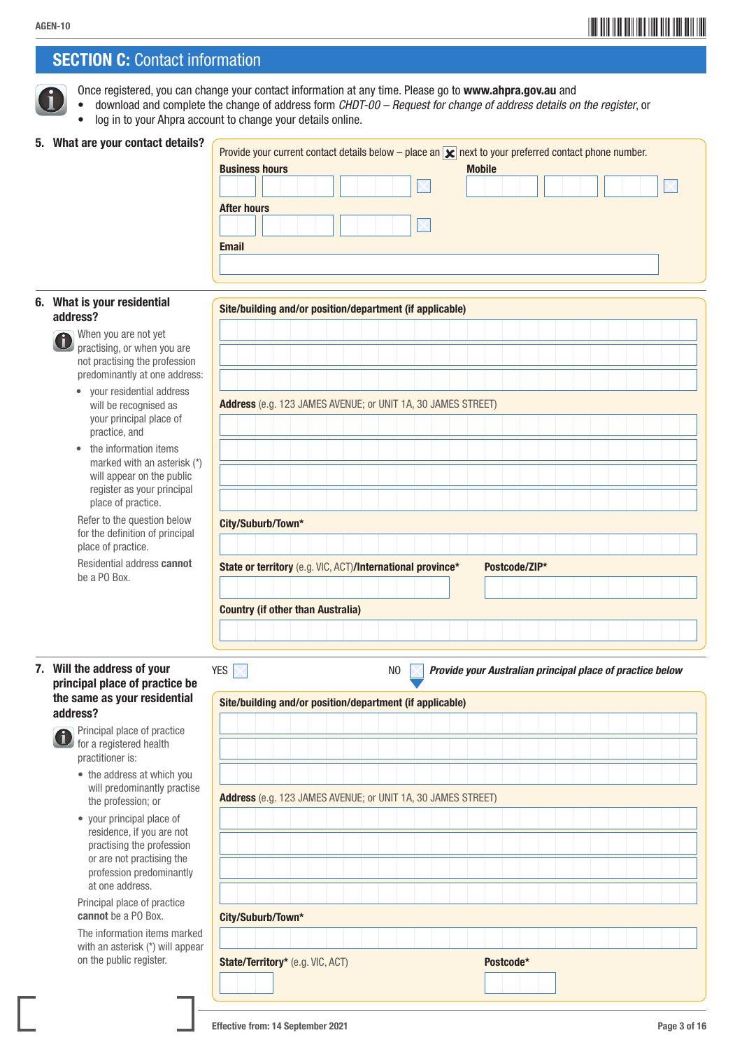# \*AGEN-103\* AGEN-10

## **SECTION C: Contact information**

- Once registered, you can change your contact information at any time. Please go to www.ahpra.gov.au and
- download and complete the change of address form *CHDT-00 Request for change of address details on the register*, or
	- log in to your Ahpra account to change your details online.

### 5. What are your contact details?

|                       | Provide your current contact details below – place an $\vert \mathbf{x} \vert$ next to your preferred contact phone number. |  |
|-----------------------|-----------------------------------------------------------------------------------------------------------------------------|--|
| <b>Business hours</b> | <b>Mobile</b>                                                                                                               |  |
| <b>After hours</b>    |                                                                                                                             |  |
| <b>Email</b>          |                                                                                                                             |  |
|                       |                                                                                                                             |  |

## 6. What is your residential address?

 When you are not yet practising, or when you are not practising the profession predominantly at one address:

- your residential address will be recognised as your principal place of practice, and
- the information items marked with an asterisk (\*) will appear on the public register as your principal place of practice.

 Refer to the question below for the definition of principal place of practice.

 Residential address cannot be a PO Box.

#### Site/building and/or position/department (if applicable)

Address (e.g. 123 JAMES AVENUE; or UNIT 1A, 30 JAMES STREET)

| City/Suburb/Town*                                          |  |  |  |  |  |  |               |  |  |  |
|------------------------------------------------------------|--|--|--|--|--|--|---------------|--|--|--|
|                                                            |  |  |  |  |  |  |               |  |  |  |
| State or territory (e.g. VIC, ACT)/International province* |  |  |  |  |  |  | Postcode/ZIP* |  |  |  |
|                                                            |  |  |  |  |  |  |               |  |  |  |
|                                                            |  |  |  |  |  |  |               |  |  |  |

YES **NO** *Provide your Australian principal place of practice below* **Provide your Australian principal place of practice below** 

# Site/building and/or position/department (if applicable) Address (e.g. 123 JAMES AVENUE; or UNIT 1A, 30 JAMES STREET) City/Suburb/Town\* State/Territory\* (e.g. VIC, ACT) Postcode\*

#### 7. Will the address of your principal place of practice be the same as your residential address?

- Principal place of practice for a registered health practitioner is:
- the address at which you will predominantly practise the profession; or
- your principal place of residence, if you are not practising the profession or are not practising the profession predominantly at one address.

Principal place of practice cannot be a PO Box.

 The information items marked with an asterisk (\*) will appear on the public register.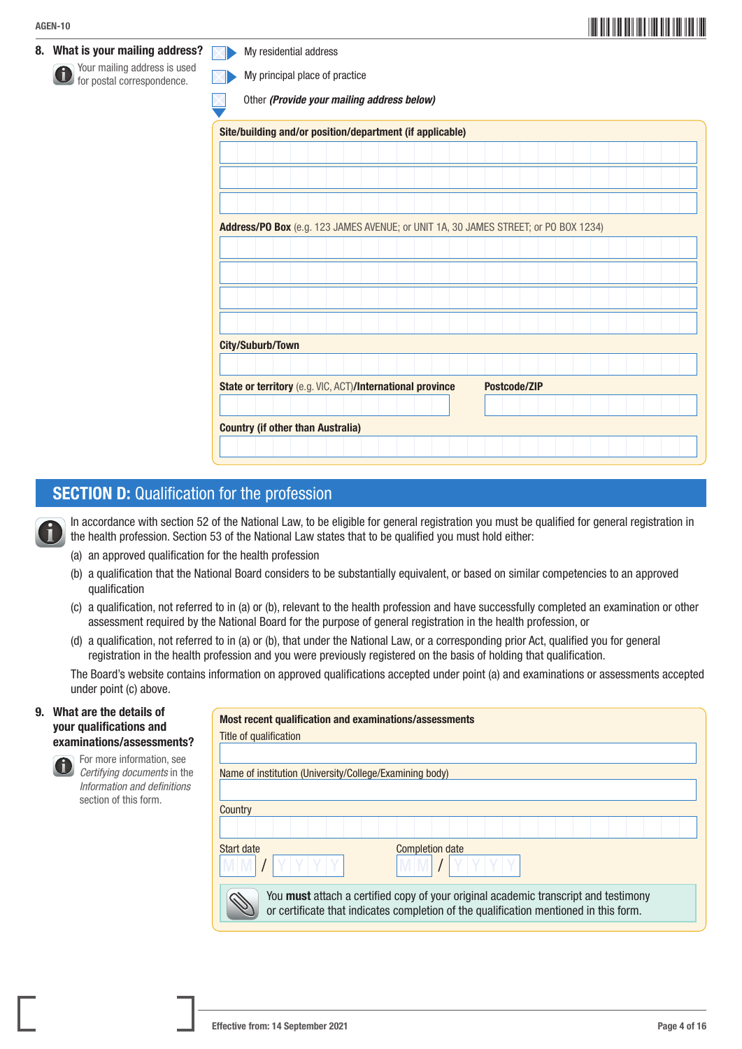#### 8. What is your mailing address?

 Your mailing address is used for postal correspondence.

| My residential address |  |
|------------------------|--|
|------------------------|--|

My principal place of practice

Other *(Provide your mailing address below)*

|                         | Site/building and/or position/department (if applicable)  |  |              |                                                                                     |  |
|-------------------------|-----------------------------------------------------------|--|--------------|-------------------------------------------------------------------------------------|--|
|                         |                                                           |  |              |                                                                                     |  |
|                         |                                                           |  |              |                                                                                     |  |
|                         |                                                           |  |              |                                                                                     |  |
|                         |                                                           |  |              |                                                                                     |  |
|                         |                                                           |  |              |                                                                                     |  |
|                         |                                                           |  |              | Address/PO Box (e.g. 123 JAMES AVENUE; or UNIT 1A, 30 JAMES STREET; or PO BOX 1234) |  |
|                         |                                                           |  |              |                                                                                     |  |
|                         |                                                           |  |              |                                                                                     |  |
|                         |                                                           |  |              |                                                                                     |  |
|                         |                                                           |  |              |                                                                                     |  |
|                         |                                                           |  |              |                                                                                     |  |
|                         |                                                           |  |              |                                                                                     |  |
|                         |                                                           |  |              |                                                                                     |  |
| <b>City/Suburb/Town</b> |                                                           |  |              |                                                                                     |  |
|                         |                                                           |  |              |                                                                                     |  |
|                         | State or territory (e.g. VIC, ACT)/International province |  | Postcode/ZIP |                                                                                     |  |
|                         |                                                           |  |              |                                                                                     |  |
|                         |                                                           |  |              |                                                                                     |  |
|                         | <b>Country (if other than Australia)</b>                  |  |              |                                                                                     |  |
|                         |                                                           |  |              |                                                                                     |  |
|                         |                                                           |  |              |                                                                                     |  |

## **SECTION D:** Qualification for the profession

 In accordance with section 52 of the National Law, to be eligible for general registration you must be qualified for general registration in the health profession. Section 53 of the National Law states that to be qualified you must hold either:

- (a) an approved qualification for the health profession
- (b) a qualification that the National Board considers to be substantially equivalent, or based on similar competencies to an approved qualification
- (c) a qualification, not referred to in (a) or (b), relevant to the health profession and have successfully completed an examination or other assessment required by the National Board for the purpose of general registration in the health profession, or
- (d) a qualification, not referred to in (a) or (b), that under the National Law, or a corresponding prior Act, qualified you for general registration in the health profession and you were previously registered on the basis of holding that qualification.

The Board's website contains information on approved qualifications accepted under point (a) and examinations or assessments accepted under point (c) above.

#### 9. What are the details of your qualifications and examinations/assessments?

 For more information, see *Certifying documents* in the *Information and definitions* section of this form.

| Most recent qualification and examinations/assessments                                                                                                                       |
|------------------------------------------------------------------------------------------------------------------------------------------------------------------------------|
| Title of qualification                                                                                                                                                       |
|                                                                                                                                                                              |
| Name of institution (University/College/Examining body)                                                                                                                      |
|                                                                                                                                                                              |
| Country                                                                                                                                                                      |
|                                                                                                                                                                              |
| <b>Completion date</b><br>Start date                                                                                                                                         |
|                                                                                                                                                                              |
| You must attach a certified copy of your original academic transcript and testimony<br>or certificate that indicates completion of the qualification mentioned in this form. |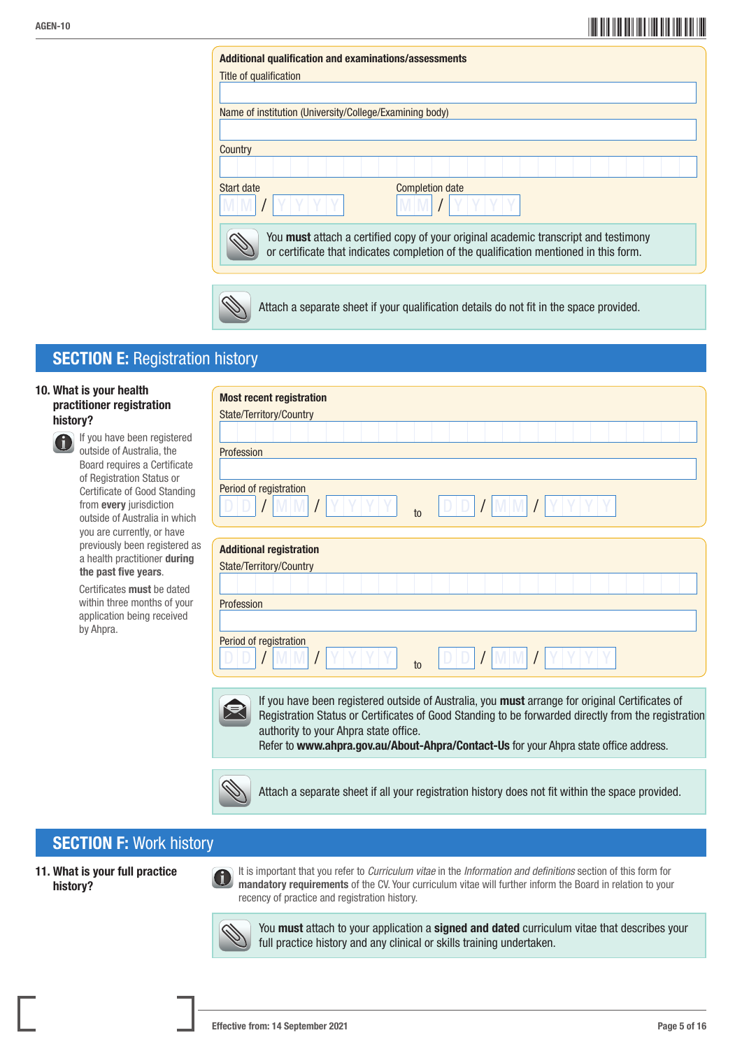# \*AGEN-105\* AGEN-10

| <b>Additional qualification and examinations/assessments</b>                            |
|-----------------------------------------------------------------------------------------|
| Title of qualification                                                                  |
|                                                                                         |
| Name of institution (University/College/Examining body)                                 |
|                                                                                         |
| Country                                                                                 |
|                                                                                         |
| Start date<br><b>Completion date</b>                                                    |
|                                                                                         |
| You must attach a certified copy of your original academic transcript and testimony     |
| or certificate that indicates completion of the qualification mentioned in this form.   |
|                                                                                         |
|                                                                                         |
| Attach a separate sheet if your qualification details do not fit in the space provided. |

## **SECTION E: Registration history**

#### 10. What is your health practitioner registration history?

| $\mathbf 0$ | If you have been registered |
|-------------|-----------------------------|
|             | outside of Australia, the   |

outside of Australia, the Board requires a Certificate of Registration Status or Certificate of Good Standing from every jurisdiction outside of Australia in which you are currently, or have previously been registered as a health practitioner during the past five years.

 Certificates must be dated within three months of your application being received by Ahpra.

| State/Territory/Country |       |  |
|-------------------------|-------|--|
|                         |       |  |
| Profession              |       |  |
|                         |       |  |
| Period of registration  |       |  |
|                         | $t_0$ |  |



If you have been registered outside of Australia, you must arrange for original Certificates of Registration Status or Certificates of Good Standing to be forwarded directly from the registration authority to your Ahpra state office.

Refer to www.ahpra.gov.au/About-Ahpra/Contact-Us for your Ahpra state office address.



Attach a separate sheet if all your registration history does not fit within the space provided.

## SECTION F: Work history

11. What is your full practice history?

It is important that you refer to *Curriculum vitae* in the *Information and definitions* section of this form for **mandatory requirements** of the CV Your curriculum vitae will further inform the Board in relation to your mandatory requirements of the CV. Your curriculum vitae will further inform the Board in relation to your recency of practice and registration history.



You must attach to your application a signed and dated curriculum vitae that describes your full practice history and any clinical or skills training undertaken.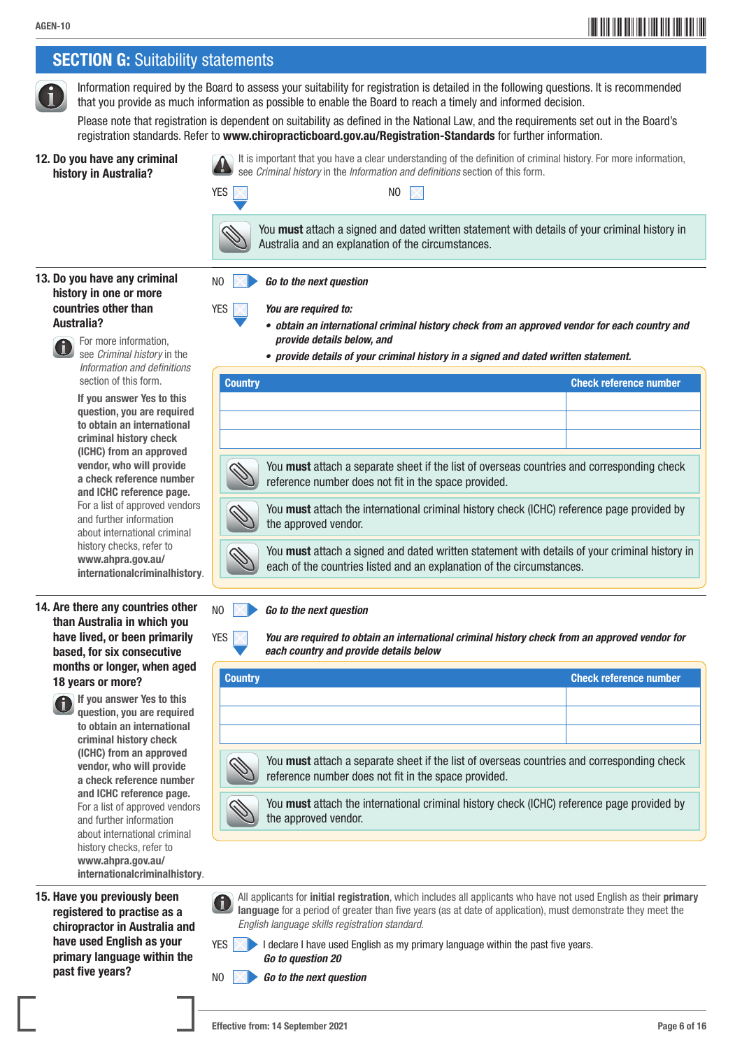# \*AGEN-106\* AGEN-10

## **SECTION G: Suitability statements**

 Information required by the Board to assess your suitability for registration is detailed in the following questions. It is recommended that you provide as much information as possible to enable the Board to reach a timely and informed decision.

Please note that registration is dependent on suitability as defined in the National Law, and the requirements set out in the Board's registration standards. Refer to www.chiropracticboard.gov.au/Registration-Standards for further information.

## 12. Do you have any criminal history in Australia?

 It is important that you have a clear understanding of the definition of criminal history. For more information, see *Criminal history* in the *Information and definitions* section of this form.  $YES \times$ 



You must attach a signed and dated written statement with details of your criminal history in Australia and an explanation of the circumstances.

#### 13. Do you have any criminal history in one or more countries other than Australia?



 For more information, see *Criminal history* in the *Information and definitions* section of this form.

If you answer Yes to this question, you are required to obtain an international criminal history check (ICHC) from an approved vendor, who will provide a check reference number and ICHC reference page. For a list of approved vendors and further information about international criminal history checks, refer to www.ahpra.gov.au/ internationalcriminalhistory.

14. Are there any countries other than Australia in which you have lived, or been primarily based, for six consecutive months or longer, when aged 18 years or more?



 If you answer Yes to this question, you are required to obtain an international criminal history check (ICHC) from an approved vendor, who will provide a check reference number and ICHC reference page. For a list of approved vendors and further information about international criminal history checks, refer to www.ahpra.gov.au/ internationalcriminalhistory.

15. Have you previously been registered to practise as a chiropractor in Australia and have used English as your primary language within the past five years?



YES *You are required to:*

- *• obtain an international criminal history check from an approved vendor for each country and provide details below, and*
- *• provide details of your criminal history in a signed and dated written statement.*

| <b>Country</b>                                                                                                                                                         | <b>Check reference number</b> |
|------------------------------------------------------------------------------------------------------------------------------------------------------------------------|-------------------------------|
|                                                                                                                                                                        |                               |
|                                                                                                                                                                        |                               |
|                                                                                                                                                                        |                               |
| You must attach a separate sheet if the list of overseas countries and corresponding check<br>reference number does not fit in the space provided.                     |                               |
| You <b>must</b> attach the international criminal history check (ICHC) reference page provided by<br>the approved vendor.                                              |                               |
| You must attach a signed and dated written statement with details of your criminal history in<br>each of the countries listed and an explanation of the circumstances. |                               |

#### NO *Go to the next question*



YES *You are required to obtain an international criminal history check from an approved vendor for each country and provide details below*

| <b>Country</b>                                                                                                                                     | <b>Check reference number.</b> |
|----------------------------------------------------------------------------------------------------------------------------------------------------|--------------------------------|
|                                                                                                                                                    |                                |
|                                                                                                                                                    |                                |
|                                                                                                                                                    |                                |
| You must attach a separate sheet if the list of overseas countries and corresponding check<br>reference number does not fit in the space provided. |                                |
| You must attach the international criminal history check (ICHC) reference page provided by                                                         |                                |



the approved vendor.



All applicants for **initial registration**, which includes all applicants who have not used English as their **primary** language for a period of greater than five years (as at date of application), must demonstrate they meet the *English language skills registration standard*.

 $YES \times I$  I declare I have used English as my primary language within the past five years. *Go to question 20*

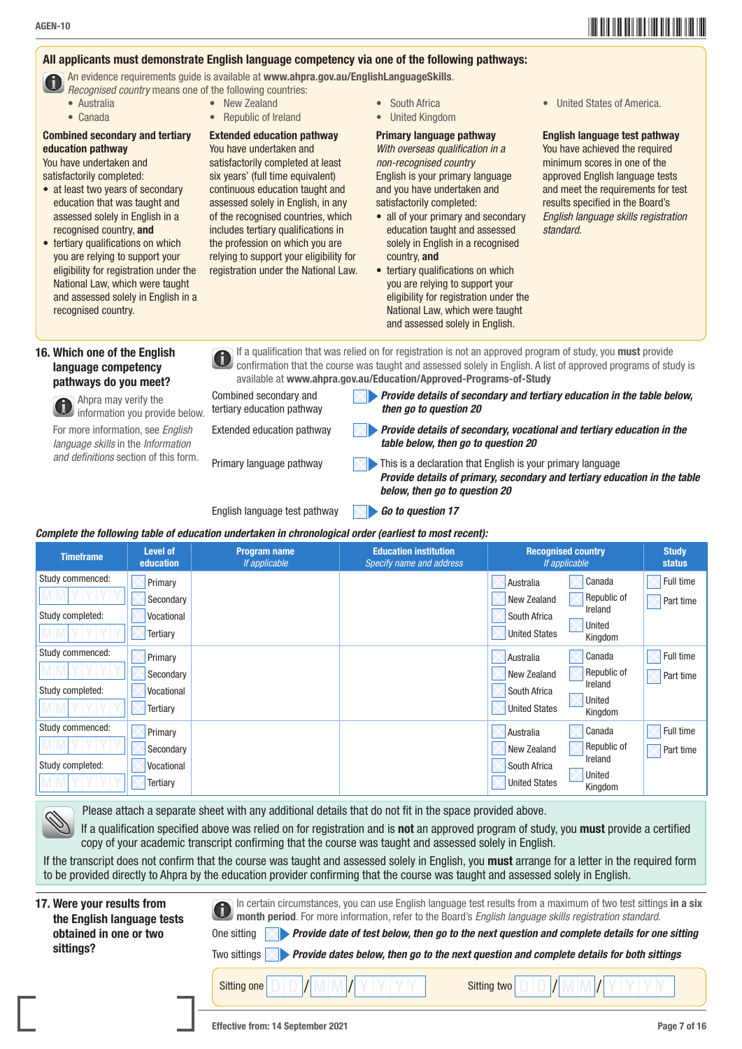## All applicants must demonstrate English language competency via one of the following pathways:

An evidence requirements quide is available at www.ahpra.gov.au/EnglishLanguageSkills. GD

• Republic of Ireland

Extended education pathway You have undertaken and satisfactorily completed at least six years' (full time equivalent) continuous education taught and assessed solely in English, in any of the recognised countries, which includes tertiary qualifications in the profession on which you are relying to support your eligibility for registration under the National Law.

*Recognised country* means one of the following countries: • New Zealand

- Australia
- Canada

#### Combined secondary and tertiary education pathway You have undertaken and

satisfactorily completed:

- at least two years of secondary education that was taught and assessed solely in English in a recognised country, and
- tertiary qualifications on which you are relying to support your eligibility for registration under the National Law, which were taught and assessed solely in English in a recognised country.

#### • South Africa

• United Kingdom

#### Primary language pathway

*With overseas qualification in a non-recognised country* English is your primary language and you have undertaken and satisfactorily completed:

- all of your primary and secondary education taught and assessed solely in English in a recognised country, and
- tertiary qualifications on which you are relying to support your National Law, which were taught

• United States of America.

### English language test pathway

You have achieved the required minimum scores in one of the approved English language tests and meet the requirements for test results specified in the Board's *English language skills registration standard*.

#### 16. Which one of the English language competency pathways do you meet?

 Ahpra may verify the information you provide below.

For more information, see *English language skills* in the *Information and definitions* section of this form.

|                                                      | eligibility for registration under the<br>National Law, which were taught<br>and assessed solely in English.                                                                                                                                                                                                |
|------------------------------------------------------|-------------------------------------------------------------------------------------------------------------------------------------------------------------------------------------------------------------------------------------------------------------------------------------------------------------|
|                                                      | <b>1</b> If a qualification that was relied on for registration is not an approved program of study, you must provide<br>confirmation that the course was taught and assessed solely in English. A list of approved programs of study<br>available at www.ahpra.gov.au/Education/Approved-Programs-of-Study |
| Combined secondary and<br>tertiary education pathway | Provide details of secondary and tertiary education in the table below,<br>then go to guestion 20                                                                                                                                                                                                           |
|                                                      |                                                                                                                                                                                                                                                                                                             |

Extended education pathway *Provide details of secondary, vocational and tertiary education in the table below, then go to question 20*

Primary language pathway **This is a declaration that English is your primary language** *Provide details of primary, secondary and tertiary education in the table below, then go to question 20*

English language test pathway **Go to question 17** 

*Complete the following table of education undertaken in chronological order (earliest to most recent):*

| <b>Timeframe</b>                     | <b>Level of</b><br>education                   | <b>Program name</b><br>If applicable | <b>Education institution</b><br><b>Specify name and address</b> |                                                                  | <b>Recognised country</b><br>If applicable            | <b>Study</b><br>status        |
|--------------------------------------|------------------------------------------------|--------------------------------------|-----------------------------------------------------------------|------------------------------------------------------------------|-------------------------------------------------------|-------------------------------|
| Study commenced:<br>Study completed: | Primary<br>Secondary<br>Vocational<br>Tertiary |                                      |                                                                 | Australia<br>New Zealand<br>South Africa<br><b>United States</b> | Canada<br>Republic of<br>Ireland<br>United<br>Kingdom | Full time<br><b>Part time</b> |
| Study commenced:<br>Study completed: | Primary<br>Secondary<br>Vocational<br>Tertiary |                                      |                                                                 | Australia<br>New Zealand<br>South Africa<br><b>United States</b> | Canada<br>Republic of<br>Ireland<br>United<br>Kingdom | Full time<br><b>Part time</b> |
| Study commenced:<br>Study completed: | Primary<br>Secondary<br>Vocational<br>Tertiary |                                      |                                                                 | Australia<br>New Zealand<br>South Africa<br><b>United States</b> | Canada<br>Republic of<br>Ireland<br>United<br>Kingdom | Full time<br>Part time        |

Please attach a separate sheet with any additional details that do not fit in the space provided above.

If a qualification specified above was relied on for registration and is not an approved program of study, you must provide a certified copy of your academic transcript confirming that the course was taught and assessed solely in English.

If the transcript does not confirm that the course was taught and assessed solely in English, you must arrange for a letter in the required form to be provided directly to Ahpra by the education provider confirming that the course was taught and assessed solely in English.

#### 17. Were your results from the English language tests obtained in one or two sittings?

In certain circumstances, you can use English language test results from a maximum of two test sittings in a six month period. For more information, refer to the Board's *English language skills registration standard*. One sitting *Provide date of test below, then go to the next question and complete details for one sitting*

Two sittings *Provide dates below, then go to the next question and complete details for both sittings*

Sitting one D D / M M / Y Y Y Y Sitting two D D / M M / Y Y Y Y

Effective from: 14 September 2021 **Page 7 of 16** Page 7 of 16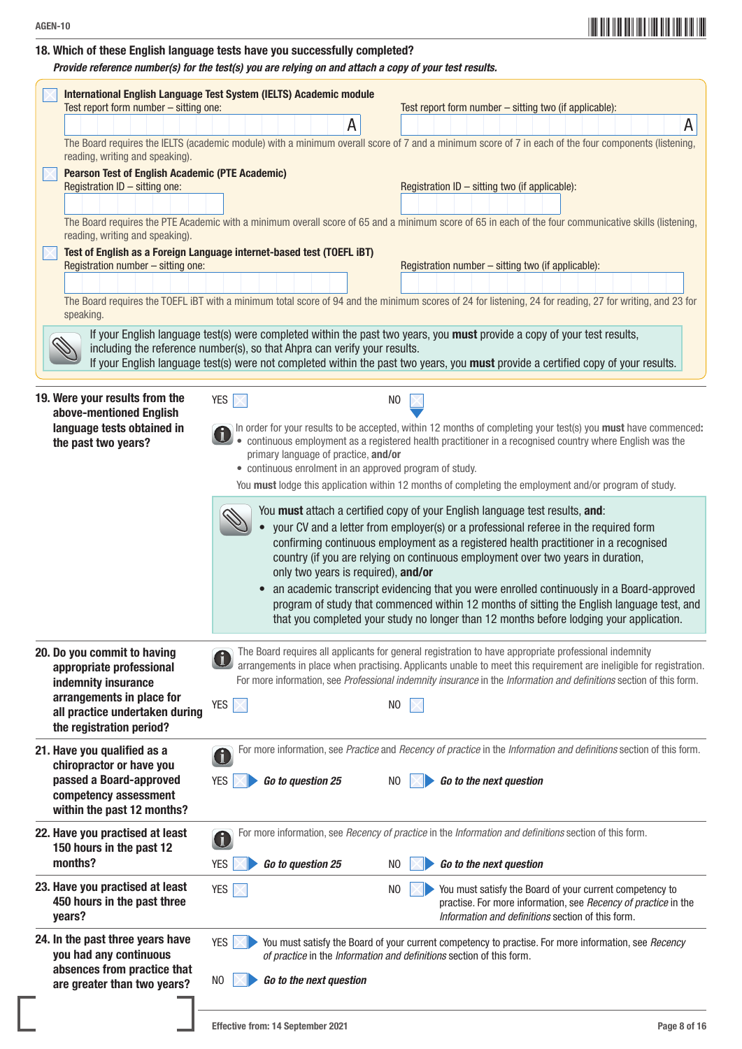# **AGEN-10**

## 18. Which of these English language tests have you successfully completed?

*Provide reference number(s) for the test(s) you are relying on and attach a copy of your test results.* 

| International English Language Test System (IELTS) Academic module<br>Test report form number - sitting one:                                                                                                                                                                                                                               |                  |    |                                                                                                                                                                                                                                                                                                                                                                                                                                                                                                                                                                                                                                                                               |                | Test report form number - sitting two (if applicable):                                                                                                                          |  |  |   |
|--------------------------------------------------------------------------------------------------------------------------------------------------------------------------------------------------------------------------------------------------------------------------------------------------------------------------------------------|------------------|----|-------------------------------------------------------------------------------------------------------------------------------------------------------------------------------------------------------------------------------------------------------------------------------------------------------------------------------------------------------------------------------------------------------------------------------------------------------------------------------------------------------------------------------------------------------------------------------------------------------------------------------------------------------------------------------|----------------|---------------------------------------------------------------------------------------------------------------------------------------------------------------------------------|--|--|---|
|                                                                                                                                                                                                                                                                                                                                            |                  |    | A                                                                                                                                                                                                                                                                                                                                                                                                                                                                                                                                                                                                                                                                             |                |                                                                                                                                                                                 |  |  | A |
| The Board requires the IELTS (academic module) with a minimum overall score of 7 and a minimum score of 7 in each of the four components (listening,<br>reading, writing and speaking).                                                                                                                                                    |                  |    |                                                                                                                                                                                                                                                                                                                                                                                                                                                                                                                                                                                                                                                                               |                |                                                                                                                                                                                 |  |  |   |
| <b>Pearson Test of English Academic (PTE Academic)</b><br>Registration ID - sitting one:<br>The Board requires the PTE Academic with a minimum overall score of 65 and a minimum score of 65 in each of the four communicative skills (listening,<br>reading, writing and speaking).                                                       |                  |    |                                                                                                                                                                                                                                                                                                                                                                                                                                                                                                                                                                                                                                                                               |                | Registration ID - sitting two (if applicable):                                                                                                                                  |  |  |   |
| Test of English as a Foreign Language internet-based test (TOEFL iBT)<br>Registration number - sitting one:<br>The Board requires the TOEFL iBT with a minimum total score of 94 and the minimum scores of 24 for listening, 24 for reading, 27 for writing, and 23 for<br>speaking.                                                       |                  |    |                                                                                                                                                                                                                                                                                                                                                                                                                                                                                                                                                                                                                                                                               |                | Registration number - sitting two (if applicable):                                                                                                                              |  |  |   |
| If your English language test(s) were completed within the past two years, you must provide a copy of your test results,<br>including the reference number(s), so that Ahpra can verify your results.<br>If your English language test(s) were not completed within the past two years, you must provide a certified copy of your results. |                  |    |                                                                                                                                                                                                                                                                                                                                                                                                                                                                                                                                                                                                                                                                               |                |                                                                                                                                                                                 |  |  |   |
| 19. Were your results from the<br>above-mentioned English<br>language tests obtained in<br>the past two years?                                                                                                                                                                                                                             | <b>YES</b>       |    | In order for your results to be accepted, within 12 months of completing your test(s) you must have commenced:<br>• continuous employment as a registered health practitioner in a recognised country where English was the<br>primary language of practice, and/or<br>• continuous enrolment in an approved program of study.<br>You must lodge this application within 12 months of completing the employment and/or program of study.                                                                                                                                                                                                                                      | N <sub>0</sub> |                                                                                                                                                                                 |  |  |   |
|                                                                                                                                                                                                                                                                                                                                            |                  |    | You must attach a certified copy of your English language test results, and:<br>your CV and a letter from employer(s) or a professional referee in the required form<br>confirming continuous employment as a registered health practitioner in a recognised<br>country (if you are relying on continuous employment over two years in duration,<br>only two years is required), and/or<br>an academic transcript evidencing that you were enrolled continuously in a Board-approved<br>program of study that commenced within 12 months of sitting the English language test, and<br>that you completed your study no longer than 12 months before lodging your application. |                |                                                                                                                                                                                 |  |  |   |
| 20. Do you commit to having<br>appropriate professional<br>indemnity insurance<br>arrangements in place for<br>all practice undertaken during<br>the registration period?                                                                                                                                                                  | <b>YES</b>       | IX | The Board requires all applicants for general registration to have appropriate professional indemnity<br>arrangements in place when practising. Applicants unable to meet this requirement are ineligible for registration.<br>For more information, see Professional indemnity insurance in the Information and definitions section of this form.                                                                                                                                                                                                                                                                                                                            | N <sub>0</sub> |                                                                                                                                                                                 |  |  |   |
| 21. Have you qualified as a<br>chiropractor or have you<br>passed a Board-approved<br>competency assessment<br>within the past 12 months?                                                                                                                                                                                                  | <b>YES</b>       |    | For more information, see Practice and Recency of practice in the Information and definitions section of this form.<br>Go to question 25                                                                                                                                                                                                                                                                                                                                                                                                                                                                                                                                      | NO.            | Go to the next question                                                                                                                                                         |  |  |   |
| 22. Have you practised at least<br>150 hours in the past 12<br>months?                                                                                                                                                                                                                                                                     | 0<br><b>YES</b>  |    | For more information, see Recency of practice in the Information and definitions section of this form.<br>Go to question 25                                                                                                                                                                                                                                                                                                                                                                                                                                                                                                                                                   | NO             | Go to the next question                                                                                                                                                         |  |  |   |
| 23. Have you practised at least<br>450 hours in the past three<br>years?                                                                                                                                                                                                                                                                   | <b>YES</b>       |    |                                                                                                                                                                                                                                                                                                                                                                                                                                                                                                                                                                                                                                                                               | N <sub>0</sub> | You must satisfy the Board of your current competency to<br>practise. For more information, see Recency of practice in the<br>Information and definitions section of this form. |  |  |   |
| 24. In the past three years have<br>you had any continuous<br>absences from practice that<br>are greater than two years?                                                                                                                                                                                                                   | <b>YES</b><br>NO |    | You must satisfy the Board of your current competency to practise. For more information, see Recency<br>of practice in the Information and definitions section of this form.<br>Go to the next question                                                                                                                                                                                                                                                                                                                                                                                                                                                                       |                |                                                                                                                                                                                 |  |  |   |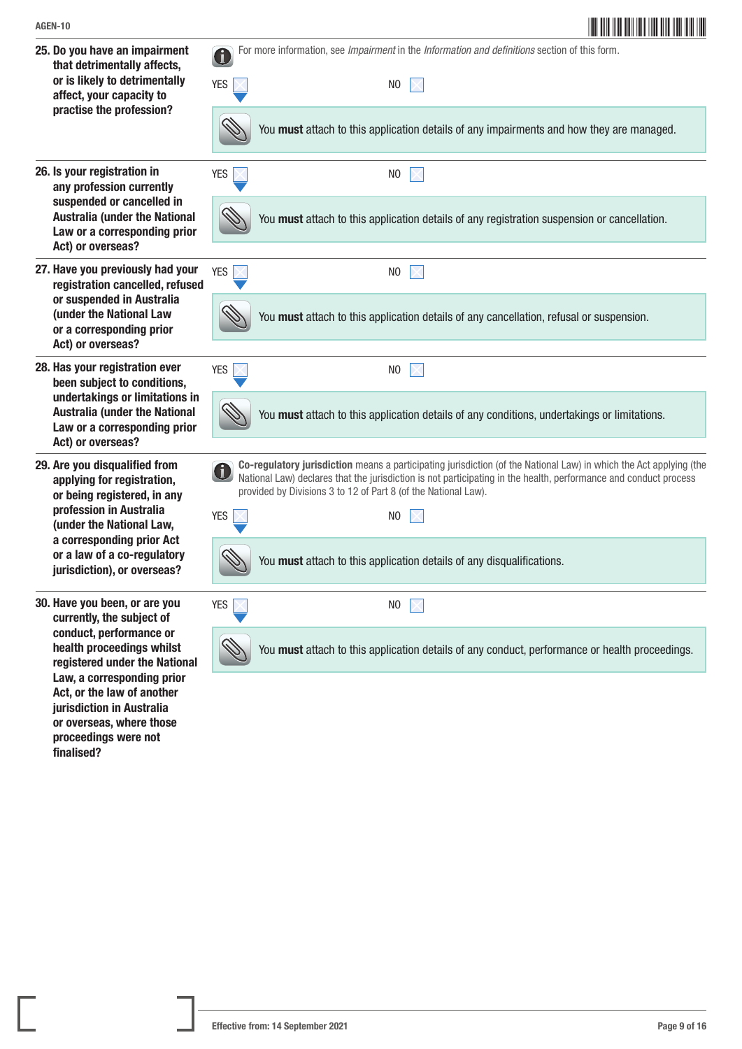finalised?



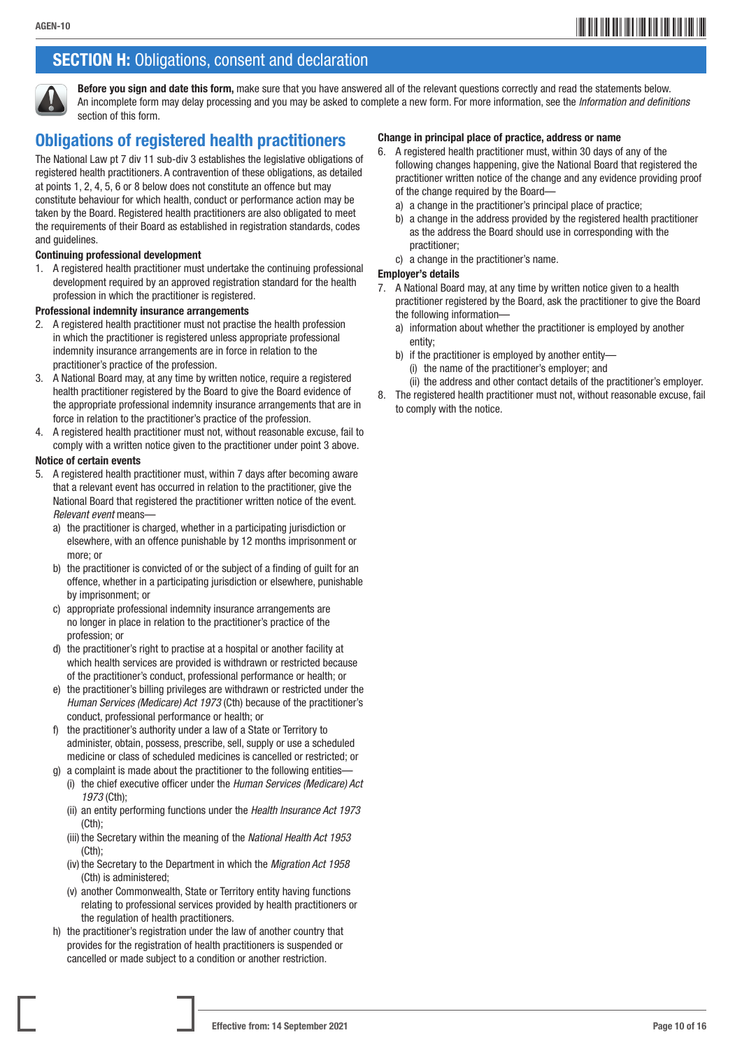

Before you sign and date this form, make sure that you have answered all of the relevant questions correctly and read the statements below. An incomplete form may delay processing and you may be asked to complete a new form. For more information, see the *Information and definitions*  section of this form.

## Obligations of registered health practitioners

The National Law pt 7 div 11 sub-div 3 establishes the legislative obligations of registered health practitioners. A contravention of these obligations, as detailed at points 1, 2, 4, 5, 6 or 8 below does not constitute an offence but may constitute behaviour for which health, conduct or performance action may be taken by the Board. Registered health practitioners are also obligated to meet the requirements of their Board as established in registration standards, codes and guidelines.

#### Continuing professional development

1. A registered health practitioner must undertake the continuing professional development required by an approved registration standard for the health profession in which the practitioner is registered.

#### Professional indemnity insurance arrangements

- 2. A registered health practitioner must not practise the health profession in which the practitioner is registered unless appropriate professional indemnity insurance arrangements are in force in relation to the practitioner's practice of the profession.
- 3. A National Board may, at any time by written notice, require a registered health practitioner registered by the Board to give the Board evidence of the appropriate professional indemnity insurance arrangements that are in force in relation to the practitioner's practice of the profession.
- 4. A registered health practitioner must not, without reasonable excuse, fail to comply with a written notice given to the practitioner under point 3 above.

#### Notice of certain events

- 5. A registered health practitioner must, within 7 days after becoming aware that a relevant event has occurred in relation to the practitioner, give the National Board that registered the practitioner written notice of the event. *Relevant event* means
	- a) the practitioner is charged, whether in a participating jurisdiction or elsewhere, with an offence punishable by 12 months imprisonment or more; or
	- b) the practitioner is convicted of or the subject of a finding of guilt for an offence, whether in a participating jurisdiction or elsewhere, punishable by imprisonment; or
	- c) appropriate professional indemnity insurance arrangements are no longer in place in relation to the practitioner's practice of the profession; or
	- d) the practitioner's right to practise at a hospital or another facility at which health services are provided is withdrawn or restricted because of the practitioner's conduct, professional performance or health; or
	- e) the practitioner's billing privileges are withdrawn or restricted under the *Human Services (Medicare) Act 1973* (Cth) because of the practitioner's conduct, professional performance or health; or
	- f) the practitioner's authority under a law of a State or Territory to administer, obtain, possess, prescribe, sell, supply or use a scheduled medicine or class of scheduled medicines is cancelled or restricted; or
	- g) a complaint is made about the practitioner to the following entities-(i) the chief executive officer under the *Human Services (Medicare) Act 1973* (Cth);
		- (ii) an entity performing functions under the *Health Insurance Act 1973*  (Cth);
		- (iii) the Secretary within the meaning of the *National Health Act 1953*  (Cth);
		- (iv) the Secretary to the Department in which the *Migration Act 1958* (Cth) is administered;
		- (v) another Commonwealth, State or Territory entity having functions relating to professional services provided by health practitioners or the regulation of health practitioners.
	- h) the practitioner's registration under the law of another country that provides for the registration of health practitioners is suspended or cancelled or made subject to a condition or another restriction.

#### Change in principal place of practice, address or name

- 6. A registered health practitioner must, within 30 days of any of the following changes happening, give the National Board that registered the practitioner written notice of the change and any evidence providing proof of the change required by the Board
	- a) a change in the practitioner's principal place of practice;
	- b) a change in the address provided by the registered health practitioner as the address the Board should use in corresponding with the practitioner;
	- c) a change in the practitioner's name.

#### Employer's details

- 7. A National Board may, at any time by written notice given to a health practitioner registered by the Board, ask the practitioner to give the Board the following information
	- a) information about whether the practitioner is employed by another entity;
	- b) if the practitioner is employed by another entity—
		- (i) the name of the practitioner's employer; and
		- (ii) the address and other contact details of the practitioner's employer.
- 8. The registered health practitioner must not, without reasonable excuse, fail to comply with the notice.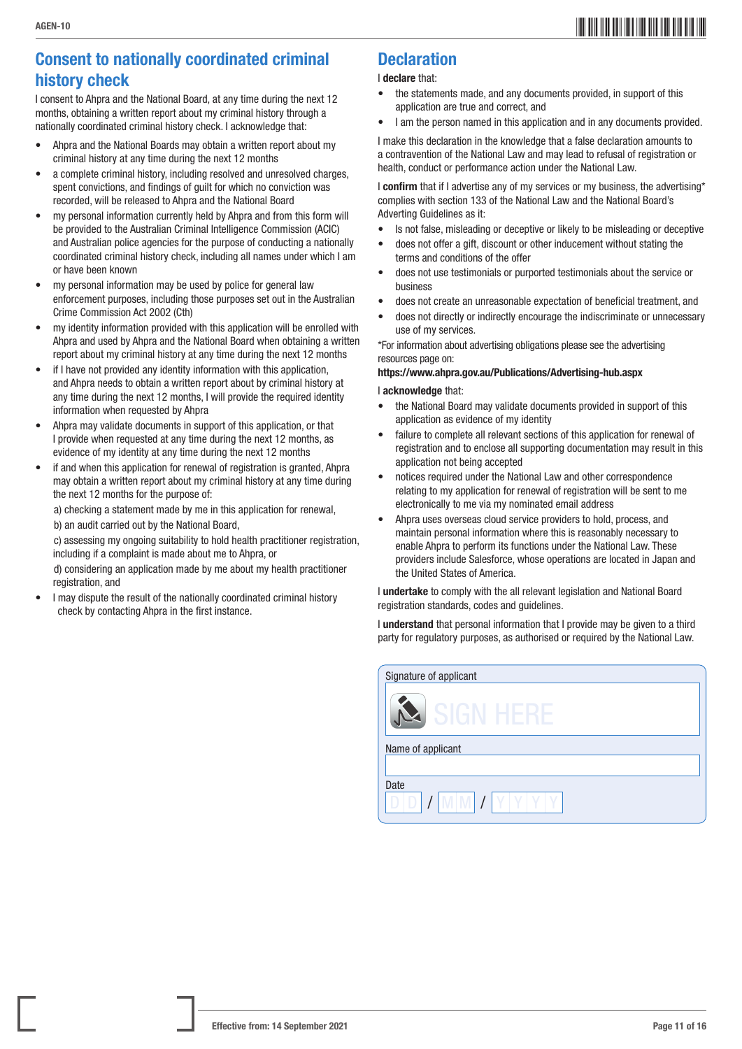## Consent to nationally coordinated criminal history check

I consent to Ahpra and the National Board, at any time during the next 12 months, obtaining a written report about my criminal history through a nationally coordinated criminal history check. I acknowledge that:

- Ahpra and the National Boards may obtain a written report about my criminal history at any time during the next 12 months
- a complete criminal history, including resolved and unresolved charges, spent convictions, and findings of guilt for which no conviction was recorded, will be released to Ahpra and the National Board
- my personal information currently held by Ahpra and from this form will be provided to the Australian Criminal Intelligence Commission (ACIC) and Australian police agencies for the purpose of conducting a nationally coordinated criminal history check, including all names under which I am or have been known
- my personal information may be used by police for general law enforcement purposes, including those purposes set out in the Australian Crime Commission Act 2002 (Cth)
- my identity information provided with this application will be enrolled with Ahpra and used by Ahpra and the National Board when obtaining a written report about my criminal history at any time during the next 12 months
- if I have not provided any identity information with this application. and Ahpra needs to obtain a written report about by criminal history at any time during the next 12 months, I will provide the required identity information when requested by Ahpra
- Ahpra may validate documents in support of this application, or that I provide when requested at any time during the next 12 months, as evidence of my identity at any time during the next 12 months
- if and when this application for renewal of registration is granted, Ahpra may obtain a written report about my criminal history at any time during the next 12 months for the purpose of:

a) checking a statement made by me in this application for renewal, b) an audit carried out by the National Board,

c) assessing my ongoing suitability to hold health practitioner registration, including if a complaint is made about me to Ahpra, or

d) considering an application made by me about my health practitioner registration, and

• I may dispute the result of the nationally coordinated criminal history check by contacting Ahpra in the first instance.

## **Declaration**

## I declare that:

- the statements made, and any documents provided, in support of this application are true and correct, and
- I am the person named in this application and in any documents provided.

I make this declaration in the knowledge that a false declaration amounts to a contravention of the National Law and may lead to refusal of registration or health, conduct or performance action under the National Law.

I confirm that if I advertise any of my services or my business, the advertising\* complies with section 133 of the National Law and the National Board's Adverting Guidelines as it:

- Is not false, misleading or deceptive or likely to be misleading or deceptive
- does not offer a gift, discount or other inducement without stating the terms and conditions of the offer
- does not use testimonials or purported testimonials about the service or business
- does not create an unreasonable expectation of beneficial treatment, and
- does not directly or indirectly encourage the indiscriminate or unnecessary use of my services.

\*For information about advertising obligations please see the advertising resources page on:

#### [https://www.ahpra.gov.au/Publications/Advertising-hub.aspx](https://www.ahpra.gov.au/Publications/Advertising-hub.aspx )

#### I acknowledge that:

- the National Board may validate documents provided in support of this application as evidence of my identity
- failure to complete all relevant sections of this application for renewal of registration and to enclose all supporting documentation may result in this application not being accepted
- notices required under the National Law and other correspondence relating to my application for renewal of registration will be sent to me electronically to me via my nominated email address
- Ahpra uses overseas cloud service providers to hold, process, and maintain personal information where this is reasonably necessary to enable Ahpra to perform its functions under the National Law. These providers include Salesforce, whose operations are located in Japan and the United States of America.

I undertake to comply with the all relevant legislation and National Board registration standards, codes and guidelines.

I understand that personal information that I provide may be given to a third party for regulatory purposes, as authorised or required by the National Law.

| Signature of applicant |
|------------------------|
| <b>SIGN HE</b>         |
| Name of applicant      |
|                        |
| Date                   |
| MMI<br> Y Y Y          |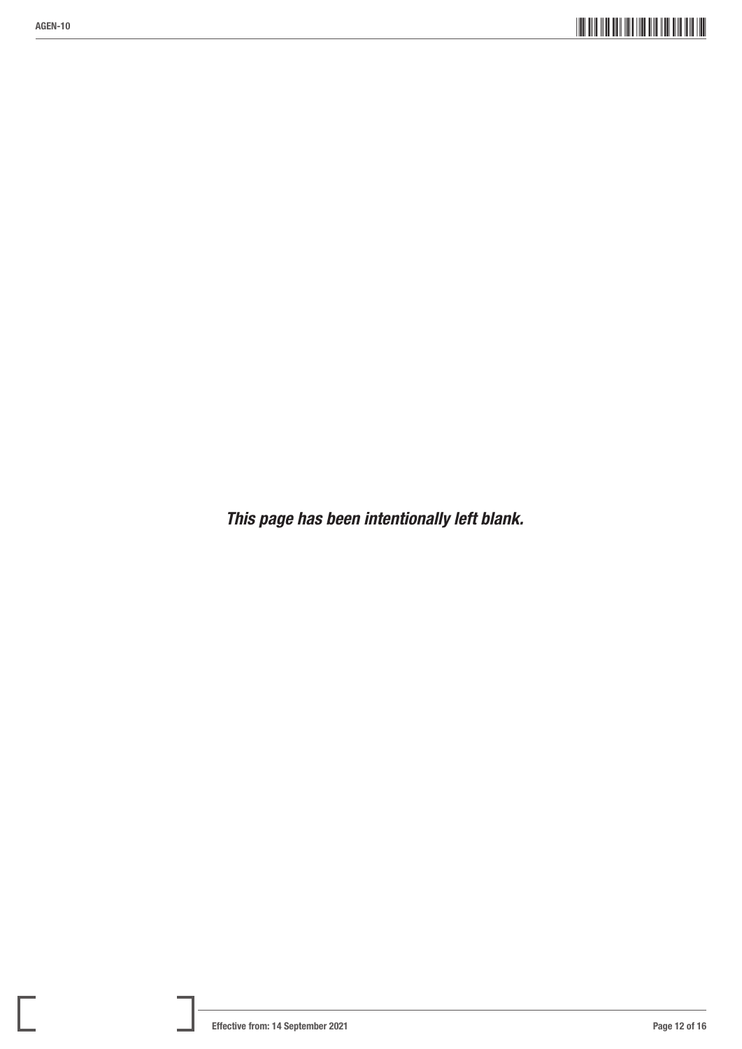*This page has been intentionally left blank.*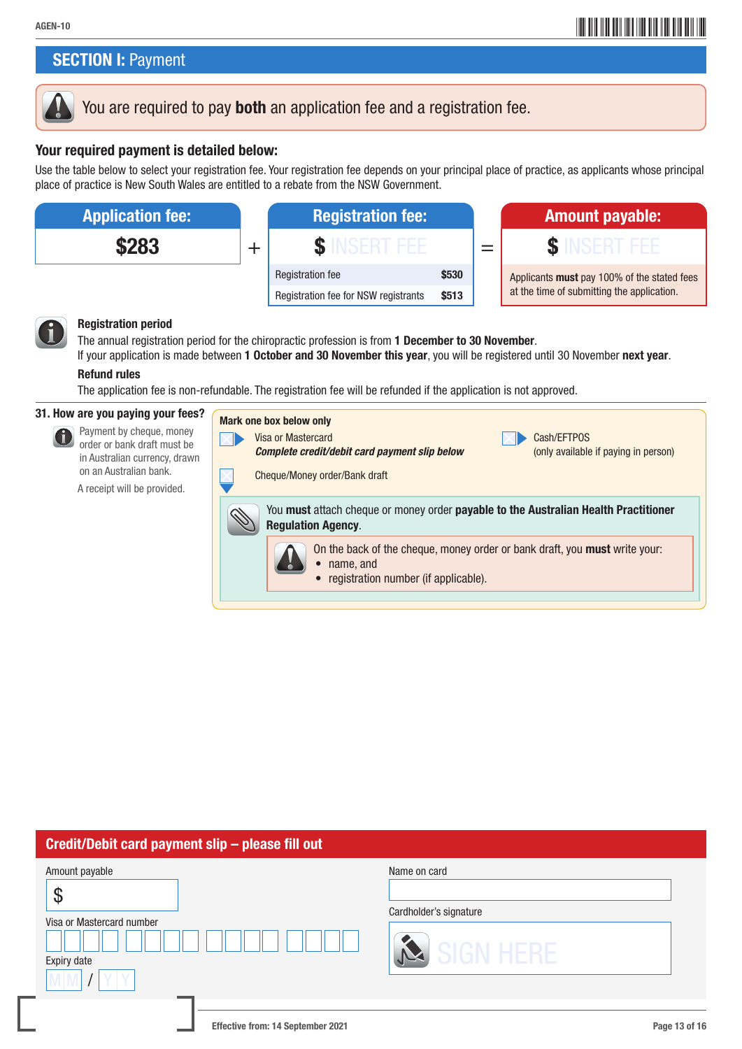## **SECTION I: Payment**

## You are required to pay both an application fee and a registration fee.

## Your required payment is detailed below:

Use the table below to select your registration fee. Your registration fee depends on your principal place of practice, as applicants whose principal place of practice is New South Wales are entitled to a rebate from the NSW Government.



Registration period

The annual registration period for the chiropractic profession is from 1 December to 30 November.

If your application is made between 1 October and 30 November this year, you will be registered until 30 November next year.

## Refund rules

The application fee is non-refundable. The registration fee will be refunded if the application is not approved.

## 31. How are you paying your fees?

on an Australian bank. A receipt will be provided.

 Payment by cheque, money order or bank draft must be in Australian currency, drawn

|                   |  | <b>Mark one box below only</b> |  |
|-------------------|--|--------------------------------|--|
| <b>NOW THE ST</b> |  | <i>Use of Mostoveous</i>       |  |



## Credit/Debit card payment slip – please fill out

| Amount payable<br>ึ<br>$\mathbf{\Phi}$<br>Visa or Mastercard number | Name on card<br>Cardholder's signature |
|---------------------------------------------------------------------|----------------------------------------|
| Expiry date                                                         | <b>SIGN HERE</b>                       |
| Effective from: 14 September 2021                                   | Page 13 of 16                          |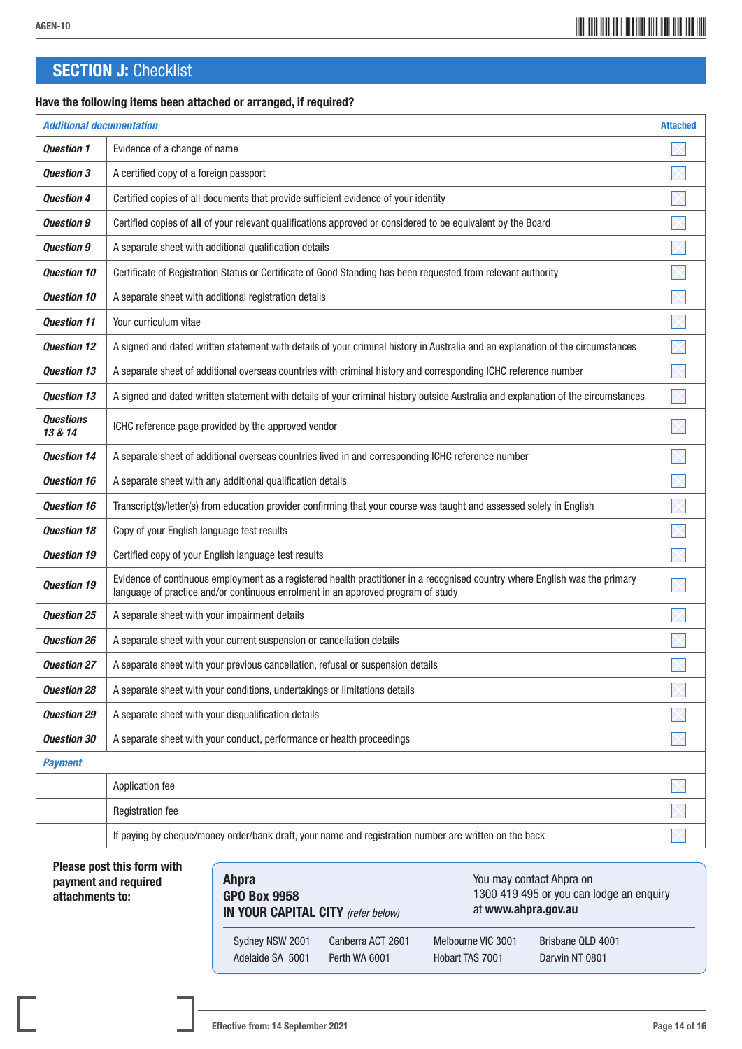# **AGEN-10** AGEN-10

## **SECTION J: Checklist**

## Have the following items been attached or arranged, if required?

| <b>Additional documentation</b>    |                                                                                                                                                                                                                 | <b>Attached</b> |
|------------------------------------|-----------------------------------------------------------------------------------------------------------------------------------------------------------------------------------------------------------------|-----------------|
| <b>Question 1</b>                  | Evidence of a change of name                                                                                                                                                                                    |                 |
| <b>Question 3</b>                  | A certified copy of a foreign passport                                                                                                                                                                          |                 |
| <b>Question 4</b>                  | Certified copies of all documents that provide sufficient evidence of your identity                                                                                                                             |                 |
| <b>Question 9</b>                  | Certified copies of all of your relevant qualifications approved or considered to be equivalent by the Board                                                                                                    |                 |
| <b>Question 9</b>                  | A separate sheet with additional qualification details                                                                                                                                                          |                 |
| <b>Question 10</b>                 | Certificate of Registration Status or Certificate of Good Standing has been requested from relevant authority                                                                                                   |                 |
| <b>Question 10</b>                 | A separate sheet with additional registration details                                                                                                                                                           |                 |
| <b>Question 11</b>                 | Your curriculum vitae                                                                                                                                                                                           |                 |
| <b>Question 12</b>                 | A signed and dated written statement with details of your criminal history in Australia and an explanation of the circumstances                                                                                 |                 |
| <b>Question 13</b>                 | A separate sheet of additional overseas countries with criminal history and corresponding ICHC reference number                                                                                                 |                 |
| <b>Question 13</b>                 | A signed and dated written statement with details of your criminal history outside Australia and explanation of the circumstances                                                                               |                 |
| <i><b>Questions</b></i><br>13 & 14 | ICHC reference page provided by the approved vendor                                                                                                                                                             |                 |
| <b>Question 14</b>                 | A separate sheet of additional overseas countries lived in and corresponding ICHC reference number                                                                                                              |                 |
| <b>Question 16</b>                 | A separate sheet with any additional qualification details                                                                                                                                                      |                 |
| <b>Question 16</b>                 | Transcript(s)/letter(s) from education provider confirming that your course was taught and assessed solely in English                                                                                           |                 |
| <b>Question 18</b>                 | Copy of your English language test results                                                                                                                                                                      |                 |
| <b>Question 19</b>                 | Certified copy of your English language test results                                                                                                                                                            |                 |
| <b>Question 19</b>                 | Evidence of continuous employment as a registered health practitioner in a recognised country where English was the primary<br>language of practice and/or continuous enrolment in an approved program of study |                 |
| <b>Question 25</b>                 | A separate sheet with your impairment details                                                                                                                                                                   |                 |
| <b>Question 26</b>                 | A separate sheet with your current suspension or cancellation details                                                                                                                                           |                 |
| <b>Question 27</b>                 | A separate sheet with your previous cancellation, refusal or suspension details                                                                                                                                 |                 |
| <b>Question 28</b>                 | A separate sheet with your conditions, undertakings or limitations details                                                                                                                                      |                 |
| <b>Question 29</b>                 | A separate sheet with your disqualification details                                                                                                                                                             |                 |
| <b>Question 30</b>                 | A separate sheet with your conduct, performance or health proceedings                                                                                                                                           |                 |
| <b>Payment</b>                     |                                                                                                                                                                                                                 |                 |
|                                    | Application fee                                                                                                                                                                                                 |                 |
|                                    | Registration fee                                                                                                                                                                                                |                 |
|                                    | If paying by cheque/money order/bank draft, your name and registration number are written on the back                                                                                                           |                 |

Please post this form with payment and required attachments to:

| <b>Ahpra</b>                       |                   | You may contact Ahpra on                 |                   |  |
|------------------------------------|-------------------|------------------------------------------|-------------------|--|
| <b>GPO Box 9958</b>                |                   | 1300 419 495 or you can lodge an enquiry |                   |  |
| IN YOUR CAPITAL CITY (refer below) |                   | at www.ahpra.gov.au                      |                   |  |
| Sydney NSW 2001                    | Canberra ACT 2601 | Melbourne VIC 3001                       | Brisbane QLD 4001 |  |
| Adelaide SA 5001                   | Perth WA 6001     | Hobart TAS 7001                          | Darwin NT 0801    |  |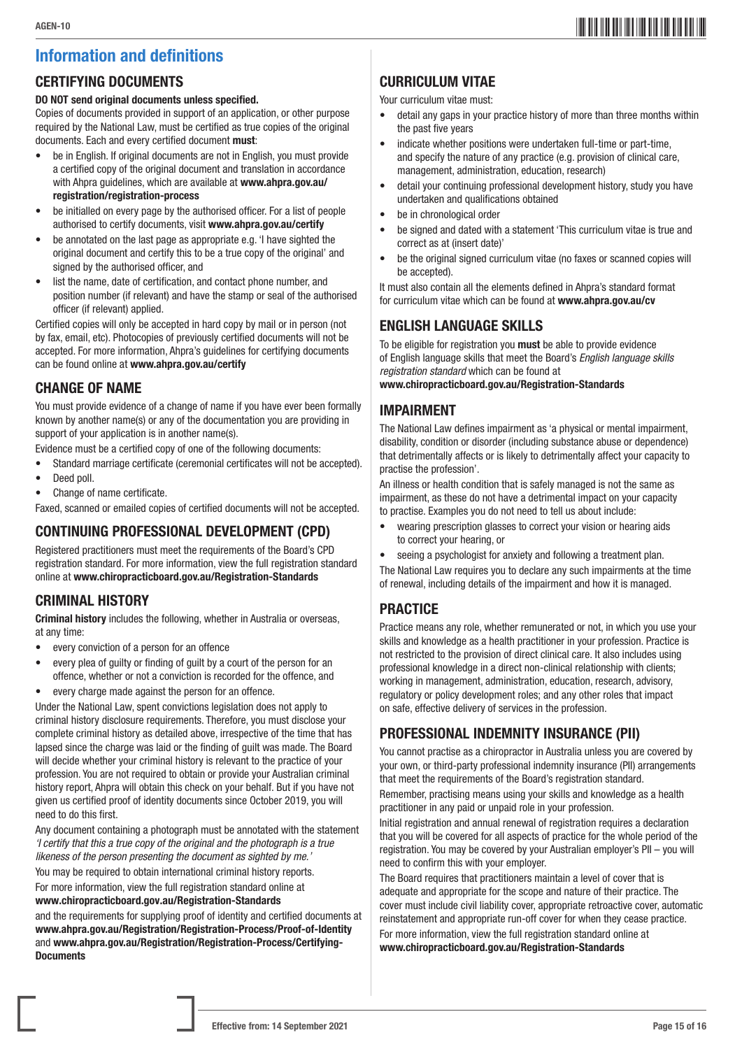## Information and definitions

## CERTIFYING DOCUMENTS

#### DO NOT send original documents unless specified.

Copies of documents provided in support of an application, or other purpose required by the National Law, must be certified as true copies of the original documents. Each and every certified document must:

- be in English. If original documents are not in English, you must provide a certified copy of the original document and translation in accordance with Ahpra guidelines, which are available at www.ahpra.gov.au/ registration/registration-process
- be initialled on every page by the authorised officer. For a list of people authorised to certify documents, visit www.ahpra.gov.au/certify
- be annotated on the last page as appropriate e.g. 'I have sighted the original document and certify this to be a true copy of the original' and signed by the authorised officer, and
- list the name, date of certification, and contact phone number, and position number (if relevant) and have the stamp or seal of the authorised officer (if relevant) applied.

Certified copies will only be accepted in hard copy by mail or in person (not by fax, email, etc). Photocopies of previously certified documents will not be accepted. For more information, Ahpra's guidelines for certifying documents can be found online at www.ahpra.gov.au/certify

## CHANGE OF NAME

You must provide evidence of a change of name if you have ever been formally known by another name(s) or any of the documentation you are providing in support of your application is in another name(s).

Evidence must be a certified copy of one of the following documents:

- Standard marriage certificate (ceremonial certificates will not be accepted).
- Deed poll.
- Change of name certificate.

Faxed, scanned or emailed copies of certified documents will not be accepted.

## CONTINUING PROFESSIONAL DEVELOPMENT (CPD)

Registered practitioners must meet the requirements of the Board's CPD registration standard. For more information, view the full registration standard online at www.chiropracticboard.gov.au/Registration-Standards

## CRIMINAL HISTORY

Criminal history includes the following, whether in Australia or overseas, at any time:

- every conviction of a person for an offence
- every plea of guilty or finding of guilt by a court of the person for an offence, whether or not a conviction is recorded for the offence, and
- every charge made against the person for an offence.

Under the National Law, spent convictions legislation does not apply to criminal history disclosure requirements. Therefore, you must disclose your complete criminal history as detailed above, irrespective of the time that has lapsed since the charge was laid or the finding of guilt was made. The Board will decide whether your criminal history is relevant to the practice of your profession. You are not required to obtain or provide your Australian criminal history report, Ahpra will obtain this check on your behalf. But if you have not given us certified proof of identity documents since October 2019, you will need to do this first.

Any document containing a photograph must be annotated with the statement *'I certify that this a true copy of the original and the photograph is a true likeness of the person presenting the document as sighted by me.'*

You may be required to obtain international criminal history reports. For more information, view the full registration standard online at www.chiropracticboard.gov.au/Registration-Standards

and the requirements for supplying proof of identity and certified documents at www.ahpra.gov.au/Registration/Registration-Process/Proof-of-Identity and www.ahpra.gov.au/Registration/Registration-Process/Certifying-**Documents** 

## CURRICULUM VITAE

Your curriculum vitae must:

- detail any gaps in your practice history of more than three months within the past five years
- indicate whether positions were undertaken full-time or part-time, and specify the nature of any practice (e.g. provision of clinical care, management, administration, education, research)
- detail your continuing professional development history, study you have undertaken and qualifications obtained
- be in chronological order
- be signed and dated with a statement 'This curriculum vitae is true and correct as at (insert date)'
- be the original signed curriculum vitae (no faxes or scanned copies will be accepted).

It must also contain all the elements defined in Ahpra's standard format for curriculum vitae which can be found at www.ahpra.gov.au/cv

## ENGLISH LANGUAGE SKILLS

To be eligible for registration you must be able to provide evidence of English language skills that meet the Board's *English language skills registration standard* which can be found at

## www.chiropracticboard.gov.au/Registration-Standards

## IMPAIRMENT

The National Law defines impairment as 'a physical or mental impairment, disability, condition or disorder (including substance abuse or dependence) that detrimentally affects or is likely to detrimentally affect your capacity to practise the profession'.

An illness or health condition that is safely managed is not the same as impairment, as these do not have a detrimental impact on your capacity to practise. Examples you do not need to tell us about include:

- wearing prescription glasses to correct your vision or hearing aids to correct your hearing, or
- seeing a psychologist for anxiety and following a treatment plan.

The National Law requires you to declare any such impairments at the time of renewal, including details of the impairment and how it is managed.

## PRACTICE

Practice means any role, whether remunerated or not, in which you use your skills and knowledge as a health practitioner in your profession. Practice is not restricted to the provision of direct clinical care. It also includes using professional knowledge in a direct non-clinical relationship with clients; working in management, administration, education, research, advisory, regulatory or policy development roles; and any other roles that impact on safe, effective delivery of services in the profession.

## PROFESSIONAL INDEMNITY INSURANCE (PII)

You cannot practise as a chiropractor in Australia unless you are covered by your own, or third-party professional indemnity insurance (PII) arrangements that meet the requirements of the Board's registration standard.

Remember, practising means using your skills and knowledge as a health practitioner in any paid or unpaid role in your profession.

Initial registration and annual renewal of registration requires a declaration that you will be covered for all aspects of practice for the whole period of the registration. You may be covered by your Australian employer's PII – you will need to confirm this with your employer.

The Board requires that practitioners maintain a level of cover that is adequate and appropriate for the scope and nature of their practice. The cover must include civil liability cover, appropriate retroactive cover, automatic reinstatement and appropriate run-off cover for when they cease practice. For more information, view the full registration standard online at www.chiropracticboard.gov.au/Registration-Standards

## AGEN-10<br>AGEN-10